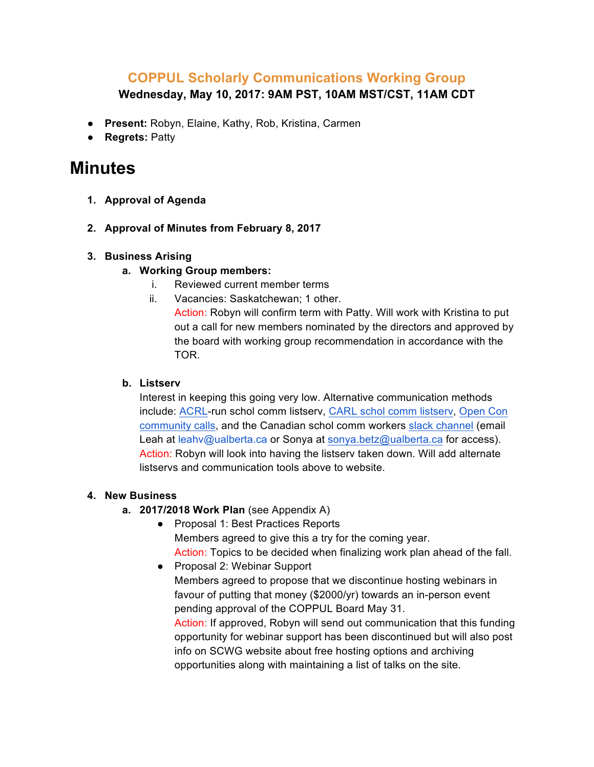# **COPPUL Scholarly Communications Working Group Wednesday, May 10, 2017: 9AM PST, 10AM MST/CST, 11AM CDT**

- **Present:** Robyn, Elaine, Kathy, Rob, Kristina, Carmen
- **Regrets:** Patty

# **Minutes**

- **1. Approval of Agenda**
- **2. Approval of Minutes from February 8, 2017**

## **3. Business Arising**

- **a. Working Group members:** 
	- i. Reviewed current member terms
	- ii. Vacancies: Saskatchewan; 1 other.

Action: Robyn will confirm term with Patty. Will work with Kristina to put out a call for new members nominated by the directors and approved by the board with working group recommendation in accordance with the TOR.

#### **b. Listserv**

Interest in keeping this going very low. Alternative communication methods include: ACRL-run schol comm listserv, CARL schol comm listserv, Open Con community calls, and the Canadian schol comm workers slack channel (email Leah at leahv@ualberta.ca or Sonya at sonya.betz@ualberta.ca for access). Action: Robyn will look into having the listserv taken down. Will add alternate listservs and communication tools above to website.

## **4. New Business**

- **a. 2017/2018 Work Plan** (see Appendix A)
	- Proposal 1: Best Practices Reports Members agreed to give this a try for the coming year. Action: Topics to be decided when finalizing work plan ahead of the fall.
	- Proposal 2: Webinar Support Members agreed to propose that we discontinue hosting webinars in favour of putting that money (\$2000/yr) towards an in-person event pending approval of the COPPUL Board May 31. Action: If approved, Robyn will send out communication that this funding opportunity for webinar support has been discontinued but will also post info on SCWG website about free hosting options and archiving opportunities along with maintaining a list of talks on the site.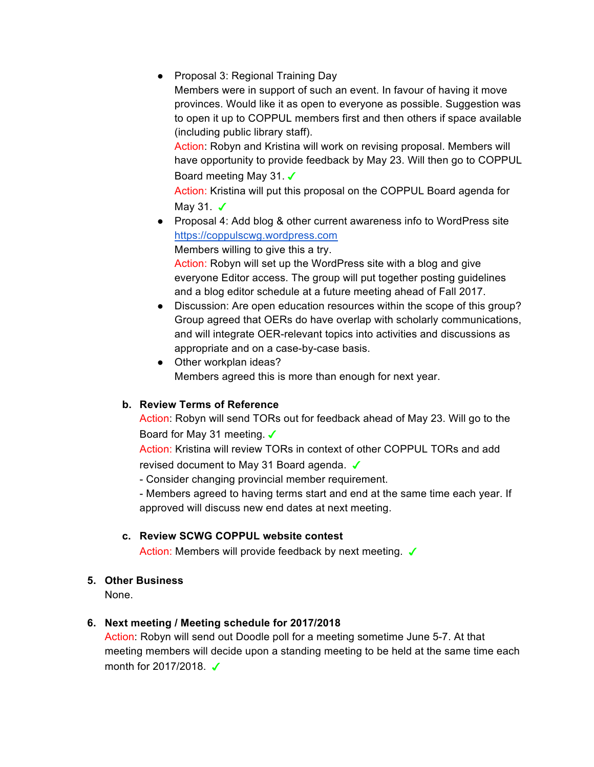● Proposal 3: Regional Training Day

Members were in support of such an event. In favour of having it move provinces. Would like it as open to everyone as possible. Suggestion was to open it up to COPPUL members first and then others if space available (including public library staff).

Action: Robyn and Kristina will work on revising proposal. Members will have opportunity to provide feedback by May 23. Will then go to COPPUL Board meeting May 31. ✓

Action: Kristina will put this proposal on the COPPUL Board agenda for May 31. **✓** 

● Proposal 4: Add blog & other current awareness info to WordPress site https://coppulscwg.wordpress.com

Members willing to give this a try.

Action: Robyn will set up the WordPress site with a blog and give everyone Editor access. The group will put together posting guidelines and a blog editor schedule at a future meeting ahead of Fall 2017.

- Discussion: Are open education resources within the scope of this group? Group agreed that OERs do have overlap with scholarly communications, and will integrate OER-relevant topics into activities and discussions as appropriate and on a case-by-case basis.
- Other workplan ideas? Members agreed this is more than enough for next year.

## **b. Review Terms of Reference**

Action: Robyn will send TORs out for feedback ahead of May 23. Will go to the Board for May 31 meeting. V

Action: Kristina will review TORs in context of other COPPUL TORs and add revised document to May 31 Board agenda. ✔

- Consider changing provincial member requirement.

- Members agreed to having terms start and end at the same time each year. If approved will discuss new end dates at next meeting.

## **c. Review SCWG COPPUL website contest**

Action: Members will provide feedback by next meeting. V

## **5. Other Business**

None.

## **6. Next meeting / Meeting schedule for 2017/2018**

Action: Robyn will send out Doodle poll for a meeting sometime June 5-7. At that meeting members will decide upon a standing meeting to be held at the same time each month for 2017/2018. **✓**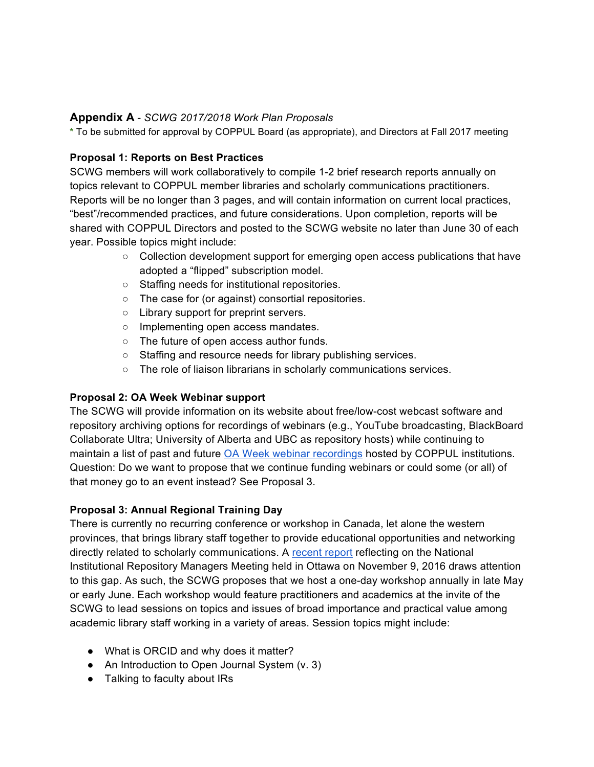#### **Appendix A** - *SCWG 2017/2018 Work Plan Proposals*

**\*** To be submitted for approval by COPPUL Board (as appropriate), and Directors at Fall 2017 meeting

#### **Proposal 1: Reports on Best Practices**

SCWG members will work collaboratively to compile 1-2 brief research reports annually on topics relevant to COPPUL member libraries and scholarly communications practitioners. Reports will be no longer than 3 pages, and will contain information on current local practices, "best"/recommended practices, and future considerations. Upon completion, reports will be shared with COPPUL Directors and posted to the SCWG website no later than June 30 of each year. Possible topics might include:

- Collection development support for emerging open access publications that have adopted a "flipped" subscription model.
- Staffing needs for institutional repositories.
- The case for (or against) consortial repositories.
- Library support for preprint servers.
- Implementing open access mandates.
- The future of open access author funds.
- Staffing and resource needs for library publishing services.
- The role of liaison librarians in scholarly communications services.

## **Proposal 2: OA Week Webinar support**

The SCWG will provide information on its website about free/low-cost webcast software and repository archiving options for recordings of webinars (e.g., YouTube broadcasting, BlackBoard Collaborate Ultra; University of Alberta and UBC as repository hosts) while continuing to maintain a list of past and future OA Week webinar recordings hosted by COPPUL institutions. Question: Do we want to propose that we continue funding webinars or could some (or all) of that money go to an event instead? See Proposal 3.

#### **Proposal 3: Annual Regional Training Day**

There is currently no recurring conference or workshop in Canada, let alone the western provinces, that brings library staff together to provide educational opportunities and networking directly related to scholarly communications. A recent report reflecting on the National Institutional Repository Managers Meeting held in Ottawa on November 9, 2016 draws attention to this gap. As such, the SCWG proposes that we host a one-day workshop annually in late May or early June. Each workshop would feature practitioners and academics at the invite of the SCWG to lead sessions on topics and issues of broad importance and practical value among academic library staff working in a variety of areas. Session topics might include:

- What is ORCID and why does it matter?
- An Introduction to Open Journal System (v. 3)
- Talking to faculty about IRs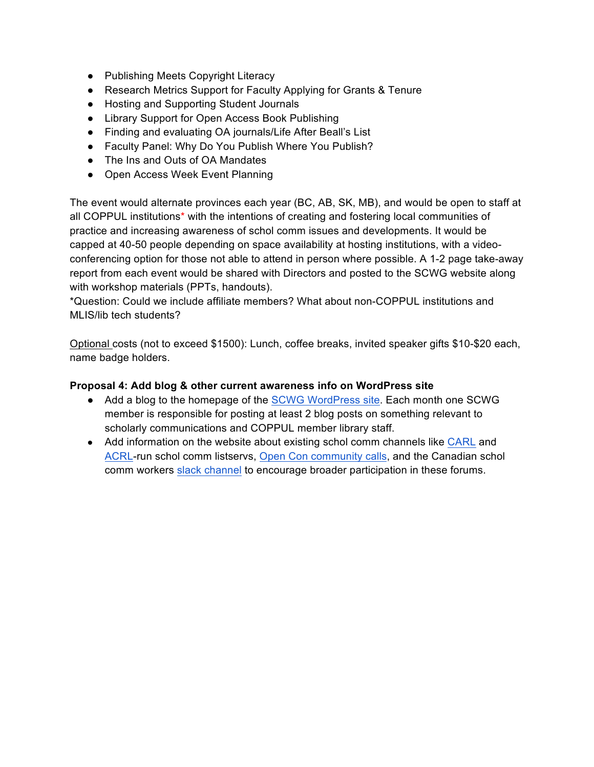- Publishing Meets Copyright Literacy
- Research Metrics Support for Faculty Applying for Grants & Tenure
- Hosting and Supporting Student Journals
- Library Support for Open Access Book Publishing
- Finding and evaluating OA journals/Life After Beall's List
- Faculty Panel: Why Do You Publish Where You Publish?
- The Ins and Outs of OA Mandates
- Open Access Week Event Planning

The event would alternate provinces each year (BC, AB, SK, MB), and would be open to staff at all COPPUL institutions\* with the intentions of creating and fostering local communities of practice and increasing awareness of schol comm issues and developments. It would be capped at 40-50 people depending on space availability at hosting institutions, with a videoconferencing option for those not able to attend in person where possible. A 1-2 page take-away report from each event would be shared with Directors and posted to the SCWG website along with workshop materials (PPTs, handouts).

\*Question: Could we include affiliate members? What about non-COPPUL institutions and MLIS/lib tech students?

Optional costs (not to exceed \$1500): Lunch, coffee breaks, invited speaker gifts \$10-\$20 each, name badge holders.

#### **Proposal 4: Add blog & other current awareness info on WordPress site**

- Add a blog to the homepage of the SCWG WordPress site. Each month one SCWG member is responsible for posting at least 2 blog posts on something relevant to scholarly communications and COPPUL member library staff.
- Add information on the website about existing schol comm channels like CARL and ACRL-run schol comm listservs, Open Con community calls, and the Canadian schol comm workers slack channel to encourage broader participation in these forums.